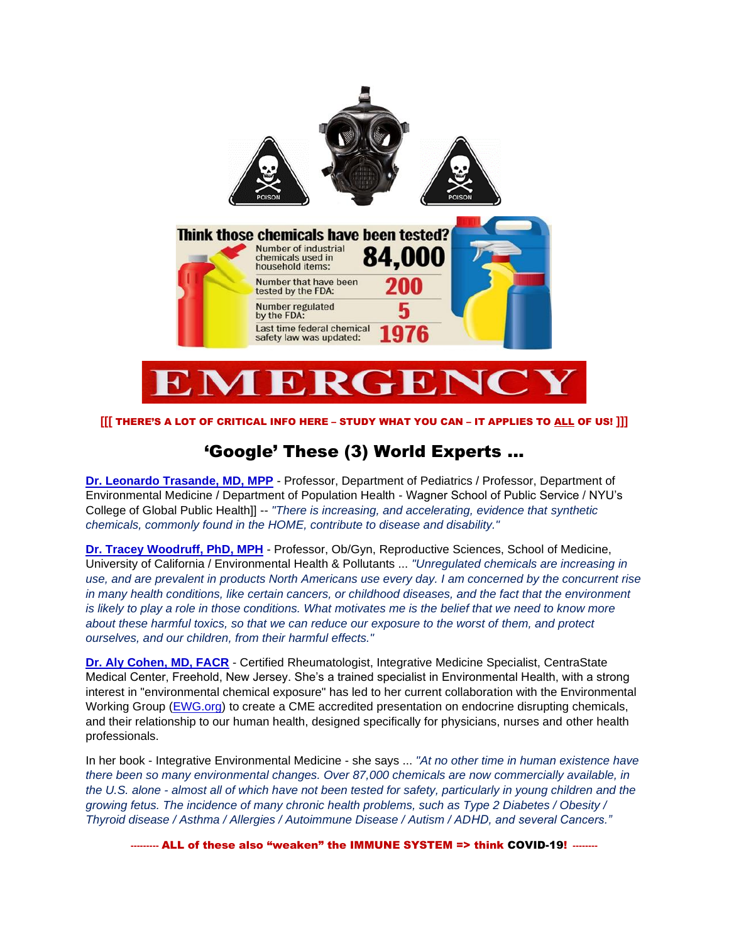

#### **[[[** THERE'S A LOT OF CRITICAL INFO HERE – STUDY WHAT YOU CAN – IT APPLIES TO ALL OF US! **]]]**

## 'Google' These (3) World Experts ...

**[Dr. Leonardo Trasande, MD, MPP](https://www.leotrasande.com/about)** - Professor, Department of Pediatrics / Professor, Department of Environmental Medicine / Department of Population Health - Wagner School of Public Service / NYU's College of Global Public Health]] -- *"There is increasing, and accelerating, evidence that synthetic chemicals, commonly found in the HOME, contribute to disease and disability."* 

**[Dr. Tracey Woodruff, PhD, MPH](https://obgyn.ucsf.edu/maternal-fetal-medicine/tracey-woodruff-phd-mph)** - Professor, Ob/Gyn, Reproductive Sciences, School of Medicine, University of California / Environmental Health & Pollutants ... *"Unregulated chemicals are increasing in use, and are prevalent in products North Americans use every day. I am concerned by the concurrent rise in many health conditions, like certain cancers, or childhood diseases, and the fact that the environment is likely to play a role in those conditions. What motivates me is the belief that we need to know more about these harmful toxics, so that we can reduce our exposure to the worst of them, and protect ourselves, and our children, from their harmful effects."*

**[Dr. Aly Cohen, MD, FACR](https://thesmarthuman.com/our-team/)** - Certified Rheumatologist, Integrative Medicine Specialist, CentraState Medical Center, Freehold, New Jersey. She's a trained specialist in Environmental Health, with a strong interest in "environmental chemical exposure" has led to her current collaboration with the Environmental Working Group [\(EWG.org\)](https://www.ewg.org/) to create a CME accredited presentation on endocrine disrupting chemicals, and their relationship to our human health, designed specifically for physicians, nurses and other health professionals.

In her book - Integrative Environmental Medicine - she says ... *"At no other time in human existence have there been so many environmental changes. Over 87,000 chemicals are now commercially available, in the U.S. alone - almost all of which have not been tested for safety, particularly in young children and the growing fetus. The incidence of many chronic health problems, such as Type 2 Diabetes / Obesity / Thyroid disease / Asthma / Allergies / Autoimmune Disease / Autism / ADHD, and several Cancers."*

**---------** ALL of these also "weaken" the IMMUNE SYSTEM => think COVID-19! **--------**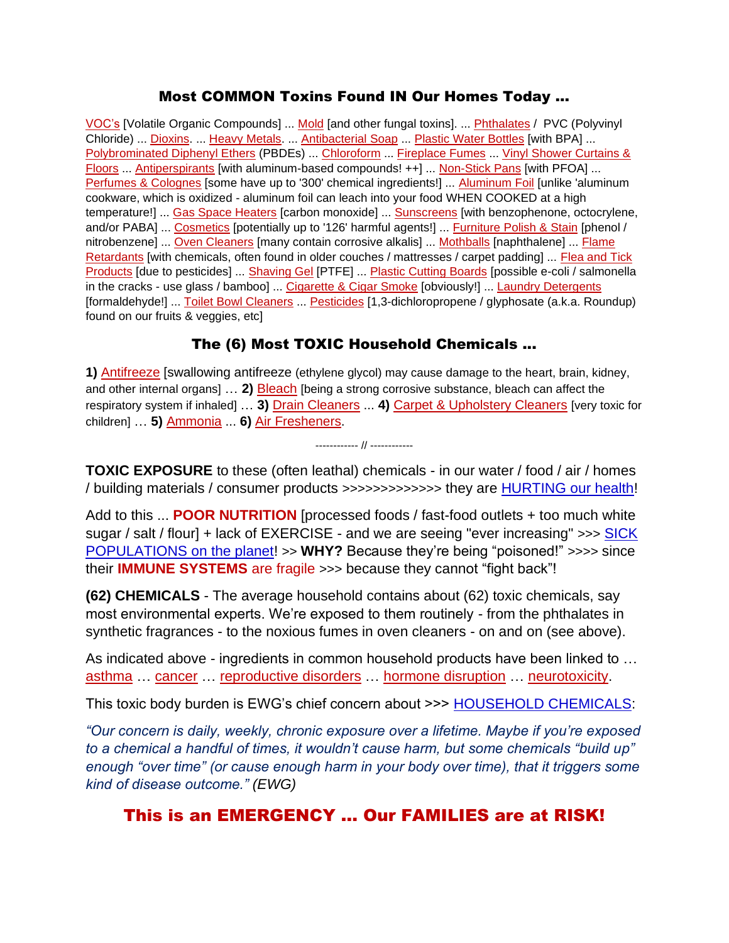### Most COMMON Toxins Found IN Our Homes Today ...

VOC's [Volatile Organic Compounds] ... Mold [and other fungal toxins]. ... **Phthalates / PVC (Polyvinyl** Chloride) ... Dioxins. ... Heavy Metals. ... Antibacterial Soap ... Plastic Water Bottles [with BPA] ... Polybrominated Diphenyl Ethers (PBDEs) ... Chloroform ... Fireplace Fumes ... Vinyl Shower Curtains & Floors ... Antiperspirants [with aluminum-based compounds! ++] ... Non-Stick Pans [with PFOA] ... Perfumes & Colognes [some have up to '300' chemical ingredients!] ... Aluminum Foil [unlike 'aluminum cookware, which is oxidized - aluminum foil can leach into your food WHEN COOKED at a high temperature!] ... Gas Space Heaters [carbon monoxide] ... Sunscreens [with benzophenone, octocrylene, and/or PABA] ... Cosmetics [potentially up to '126' harmful agents!] ... Furniture Polish & Stain [phenol / nitrobenzene] ... Oven Cleaners [many contain corrosive alkalis] ... Mothballs [naphthalene] ... Flame Retardants [with chemicals, often found in older couches / mattresses / carpet padding] ... Flea and Tick Products [due to pesticides] ... Shaving Gel [PTFE] ... Plastic Cutting Boards [possible e-coli / salmonella in the cracks - use glass / bamboo] ... Cigarette & Cigar Smoke [obviously!] ... Laundry Detergents [formaldehyde!] ... Toilet Bowl Cleaners ... Pesticides [1,3-dichloropropene / glyphosate (a.k.a. Roundup) found on our fruits & veggies, etc]

## The (6) Most TOXIC Household Chemicals ...

**1)** Antifreeze [swallowing antifreeze (ethylene glycol) may cause damage to the heart, brain, kidney, and other internal organs] … **2)** Bleach [being a strong corrosive substance, bleach can affect the respiratory system if inhaled] … **3)** Drain Cleaners ... **4)** Carpet & Upholstery Cleaners [very toxic for children] … **5)** Ammonia ... **6)** Air Fresheners.

**TOXIC EXPOSURE** to these (often leathal) chemicals - in our water / food / air / homes / building materials / consumer products >>>>>>>>>>>>> they are [HURTING our health!](https://www.huffpost.com/entry/us-drinking-water-forever-chemicals-report_n_5e288fcec5b6d6767fcde005)

------------ // ------------

Add to this ... **POOR NUTRITION** [processed foods / fast-food outlets + too much white sugar / salt / flour] + lack of EXERCISE - and we are seeing "ever increasing" >>> SICK [POPULATIONS on the planet!](https://www.ucsf.edu/news/2017/06/407416/toxic-exposure-chemicals-are-our-water-food-air-and-furniture) >> **WHY?** Because they're being "poisoned!" >>>> since their **IMMUNE SYSTEMS** are fragile >>> because they cannot "fight back"!

**(62) CHEMICALS** - The average household contains about (62) toxic chemicals, say most environmental experts. We're exposed to them routinely - from the phthalates in synthetic fragrances - to the noxious fumes in oven cleaners - on and on (see above).

As indicated above - ingredients in common household products have been linked to … asthma … cancer … reproductive disorders … hormone disruption … neurotoxicity.

This toxic body burden is EWG's chief concern about >>> [HOUSEHOLD CHEMICALS:](https://www.ewg.org/healthyhomeguide/glossary/)

*"Our concern is daily, weekly, chronic exposure over a lifetime. Maybe if you're exposed to a chemical a handful of times, it wouldn't cause harm, but some chemicals "build up" enough "over time" (or cause enough harm in your body over time), that it triggers some kind of disease outcome." (EWG)*

## This is an EMERGENCY … Our FAMILIES are at RISK!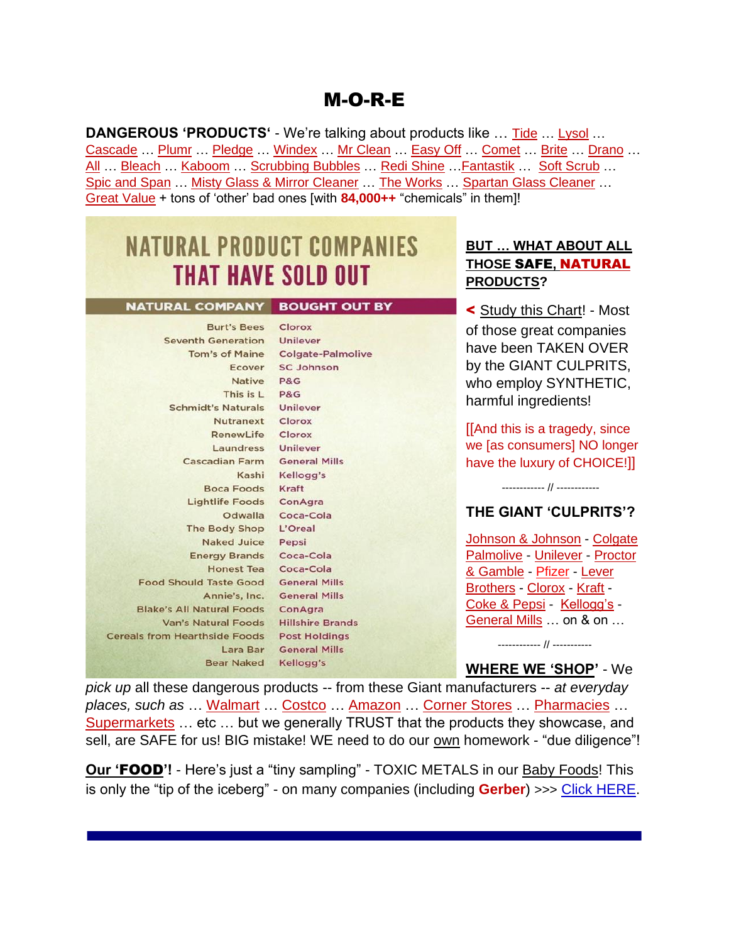## M-O-R-E

**DANGEROUS 'PRODUCTS'** - We're talking about products like … Tide … Lysol … Cascade … Plumr … Pledge … Windex … Mr Clean … Easy Off … Comet … Brite … Drano … All … Bleach … Kaboom … Scrubbing Bubbles … Redi Shine …Fantastik … Soft Scrub … Spic and Span … Misty Glass & Mirror Cleaner … The Works … Spartan Glass Cleaner … Great Value + tons of 'other' bad ones [with **84,000++** "chemicals" in them]!

# **NATURAL PRODUCT COMPANIES THAT HAVE SOLD OUT**

#### NATURAL COMPANY BOUGHT OUT BY

Burt's Bees Clorox Seventh Generation Unilever Tom's of Maine Colgate-Palmolive Ecover SC Johnson Native P&G This is L P&G **Schmidt's Naturals** Unilever Nutranext Clorox RenewLife Clorox Laundress Unilever **Cascadian Farm General Mills** Kashi Kellogg's Boca Foods Kraft Lightlife Foods ConAgra Odwalla Coca-Cola The Body Shop L'Oreal Naked Juice Pepsi Energy Brands Coca-Cola Honest Tea Coca-Cola Food Should Taste Good General Mills Annie's, Inc. General Mills **Blake's All Natural Foods ConAgra** Van's Natural Foods Hillshire Brands **Cereals from Hearthside Foods Post Holdings** Lara Bar General Mills Bear Naked Kellogg's

### **BUT … WHAT ABOUT ALL THOSE** SAFE**,** NATURAL **PRODUCTS?**

< Study this Chart! - Most of those great companies have been TAKEN OVER by the GIANT CULPRITS, who employ SYNTHETIC, harmful ingredients!

[[And this is a tragedy, since we [as consumers] NO longer have the luxury of CHOICE!]]

## **THE GIANT 'CULPRITS'?**

------------ // ------------

Johnson & Johnson - Colgate Palmolive - Unilever - Proctor & Gamble - Pfizer - Lever Brothers - Clorox - Kraft - Coke & Pepsi - Kellogg's - General Mills … on & on …

 ------------ // ----------- **WHERE WE 'SHOP'** - We

*pick up* all these dangerous products -- from these Giant manufacturers -- *at everyday places, such as* … Walmart … Costco … Amazon … Corner Stores … Pharmacies … Supermarkets ... etc ... but we generally TRUST that the products they showcase, and sell, are SAFE for us! BIG mistake! WE need to do our own homework - "due diligence"!

**Our 'FOOD'!** - Here's just a "tiny sampling" - TOXIC METALS in our **Baby Foods!** This is only the "tip of the iceberg" - on many companies (including **Gerber**) >>> [Click HERE.](https://www.cnn.com/2019/10/17/health/baby-foods-arsenic-lead-toxic-metals-wellness/index.html)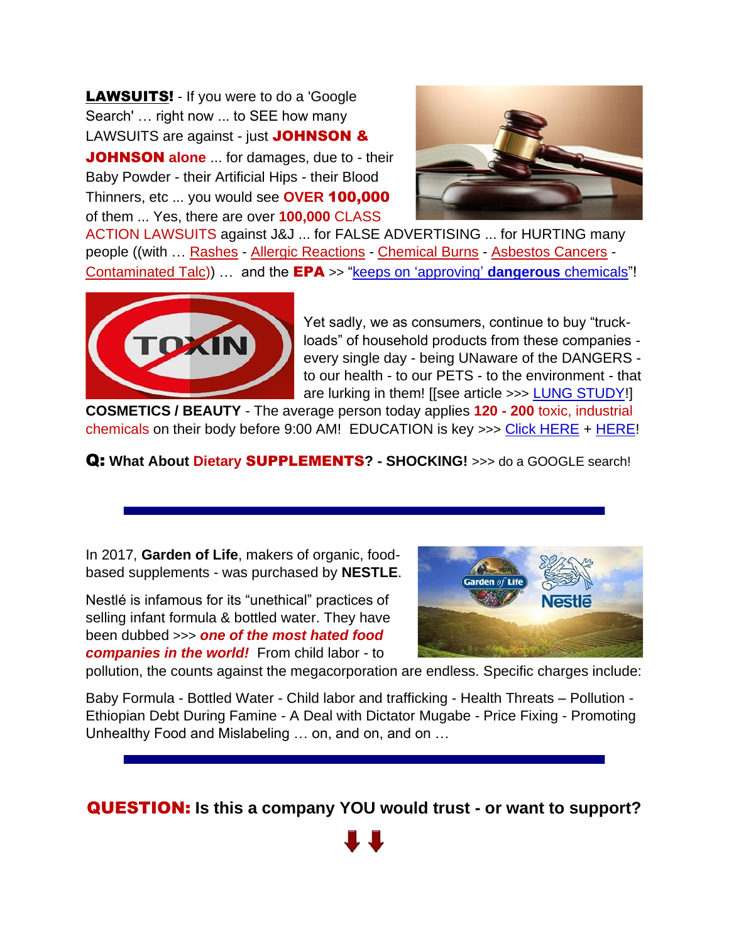**LAWSUITS!** - If you were to do a 'Google' Search' … right now ... to SEE how many LAWSUITS are against - just JOHNSON &

JOHNSON **alone** ... for damages, due to - their Baby Powder - their Artificial Hips - their Blood Thinners, etc ... you would see **OVER** 100,000 of them ... Yes, there are over **100,000** CLASS



ACTION LAWSUITS against J&J ... for FALSE ADVERTISING ... for HURTING many people ((with … Rashes - Allergic Reactions - Chemical Burns - Asbestos Cancers - Contaminated Talc)) … and the EPA >> ["keeps on 'approving'](https://www.huffpost.com/entry/epa-pfas-dangerous-chemicals_n_5e384be0c5b69a19a4b39504) **dangerous** chemicals"!



Yet sadly, we as consumers, continue to buy "truckloads" of household products from these companies every single day - being UNaware of the DANGERS to our health - to our PETS - to the environment - that are lurking in them! [[see article >>> [LUNG STUDY!](https://www.healthline.com/health-news/how-your-housecleaning-products-can-be-bad-for-your-lungs#Chemicals-not-intended-for-your-lungs)]

**COSMETICS / BEAUTY** - The average person today applies **120 - 200** toxic, industrial chemicals on their body before 9:00 AM! EDUCATION is key >>> [Click HERE](https://www.beautyschoolsdirectory.com/blog/toxic-cosmetics) + [HERE!](https://www.keepandshare.com/doc20/23611/ogx-converted-pdf-146k?da=y)

Q: **What About Dietary** SUPPLEMENTS**? - SHOCKING!** >>> do a GOOGLE search!

In 2017, **Garden of Life**, makers of organic, foodbased supplements - was purchased by **NESTLE**.

Nestlé is infamous for its "unethical" practices of selling infant formula & bottled water. They have been dubbed >>> *one of the most hated food companies in the world!* From child labor - to



pollution, the counts against the megacorporation are endless. Specific charges include:

Baby Formula - Bottled Water - Child labor and trafficking - Health Threats – Pollution - Ethiopian Debt During Famine - A Deal with Dictator Mugabe - Price Fixing - Promoting Unhealthy Food and Mislabeling … on, and on, and on …

QUESTION: **Is this a company YOU would trust - or want to support?**